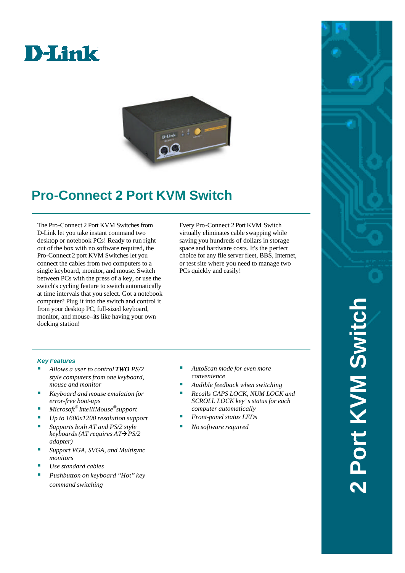



## **Pro-Connect 2 Port KVM Switch**

The Pro-Connect 2 Port KVM Switches from D-Link let you take instant command two desktop or notebook PCs! Ready to run right out of the box with no software required, the Pro-Connect 2 port KVM Switches let you connect the cables from two computers to a single keyboard, monitor, and mouse. Switch between PCs with the press of a key, or use the switch's cycling feature to switch automatically at time intervals that you select. Got a notebook computer? Plug it into the switch and control it from your desktop PC, full-sized keyboard, monitor, and mouse--its like having your own docking station!

Every Pro-Connect 2 Port KVM Switch virtually eliminates cable swapping while saving you hundreds of dollars in storage space and hardware costs. It's the perfect choice for any file server fleet, BBS, Internet, or test site where you need to manage two PCs quickly and easily!

## *Key Features*

- ß *Allows a user to control TWO PS/2 style computers from one keyboard, mouse and monitor*
- ß *Keyboard and mouse emulation for error-free boot-ups*
- ß *Microsoft® IntelliMouse® support*
- *Up to 1600x1200 resolution support*
- ß *Supports both AT and PS/2 style keyboards (AT requires AT→PS/2 adapter)*
- ß *Support VGA, SVGA, and Multisync monitors*
- ß *Use standard cables*
- ß *Pushbutton on keyboard "Hot" key command switching*
- ß *AutoScan mode for even more convenience*
- ß *Audible feedback when switching*
- ß *Recalls CAPS LOCK, NUM LOCK and SCROLL LOCK key's status for each computer automatically*
- ß *Front-panel status LEDs*
- ß *No software required*